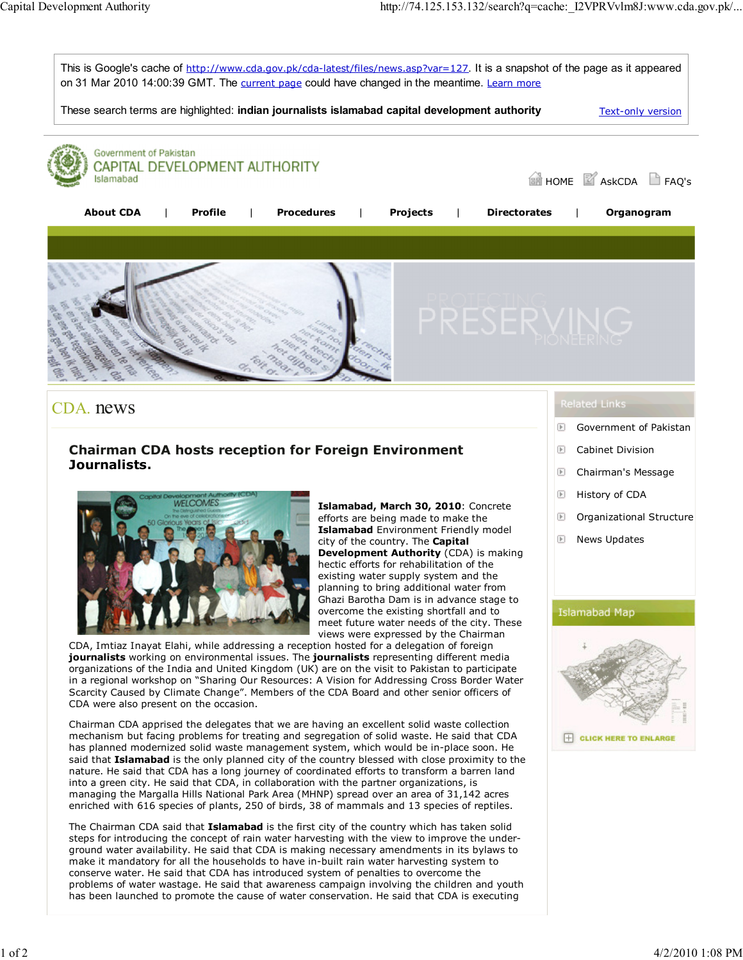

## CDA. news

## Chairman CDA hosts reception for Foreign Environment Journalists.



Islamabad, March 30, 2010: Concrete efforts are being made to make the Islamabad Environment Friendly model city of the country. The Capital Development Authority (CDA) is making hectic efforts for rehabilitation of the existing water supply system and the planning to bring additional water from Ghazi Barotha Dam is in advance stage to overcome the existing shortfall and to meet future water needs of the city. These views were expressed by the Chairman

CDA, Imtiaz Inayat Elahi, while addressing a reception hosted for a delegation of foreign journalists working on environmental issues. The journalists representing different media organizations of the India and United Kingdom (UK) are on the visit to Pakistan to participate in a regional workshop on "Sharing Our Resources: A Vision for Addressing Cross Border Water Scarcity Caused by Climate Change". Members of the CDA Board and other senior officers of CDA were also present on the occasion.

Chairman CDA apprised the delegates that we are having an excellent solid waste collection mechanism but facing problems for treating and segregation of solid waste. He said that CDA has planned modernized solid waste management system, which would be in-place soon. He said that Islamabad is the only planned city of the country blessed with close proximity to the nature. He said that CDA has a long journey of coordinated efforts to transform a barren land into a green city. He said that CDA, in collaboration with the partner organizations, is managing the Margalla Hills National Park Area (MHNP) spread over an area of 31,142 acres enriched with 616 species of plants, 250 of birds, 38 of mammals and 13 species of reptiles.

The Chairman CDA said that *Islamabad* is the first city of the country which has taken solid steps for introducing the concept of rain water harvesting with the view to improve the underground water availability. He said that CDA is making necessary amendments in its bylaws to make it mandatory for all the households to have in-built rain water harvesting system to conserve water. He said that CDA has introduced system of penalties to overcome the problems of water wastage. He said that awareness campaign involving the children and youth has been launched to promote the cause of water conservation. He said that CDA is executing

## **Related Links**

- Government of Pakistan  $\boxed{\mathbb{F}}$
- 旧 Cabinet Division
- D Chairman's Message
- $\boxed{\mathbb{F}}$ History of CDA
- $\boxed{\mathbb{F}}$ Organizational Structure
- ▣ News Updates

## **Islamabad Map**